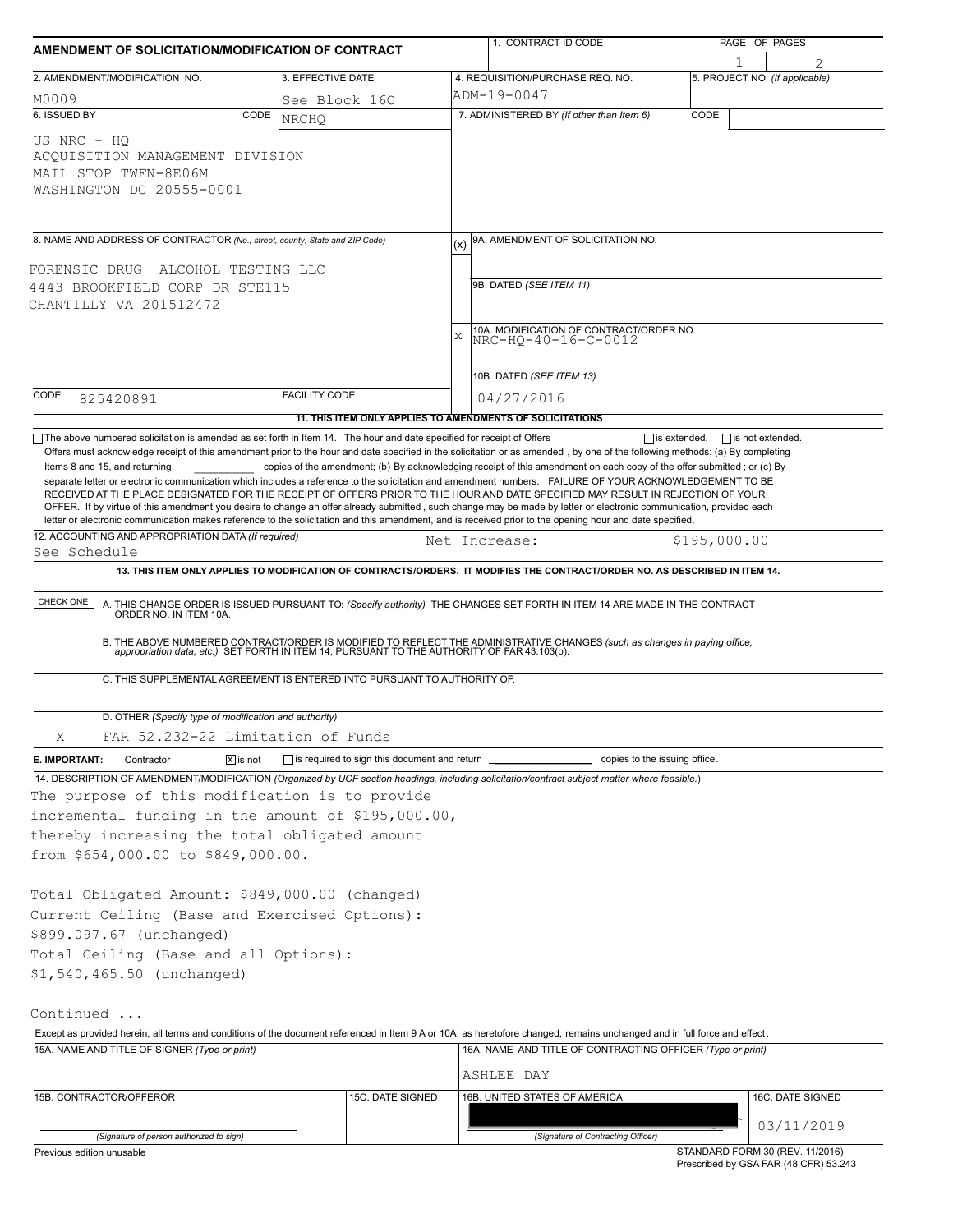| AMENDMENT OF SOLICITATION/MODIFICATION OF CONTRACT                                            |                                                                                                                                                                                                                                                                                                                                                                                                                                                                                                                                                                                                                                                                                                                                                                                                                                                |                                                           |               | 1. CONTRACT ID CODE                                                                                                         |      | PAGE OF PAGES                       |  |  |  |
|-----------------------------------------------------------------------------------------------|------------------------------------------------------------------------------------------------------------------------------------------------------------------------------------------------------------------------------------------------------------------------------------------------------------------------------------------------------------------------------------------------------------------------------------------------------------------------------------------------------------------------------------------------------------------------------------------------------------------------------------------------------------------------------------------------------------------------------------------------------------------------------------------------------------------------------------------------|-----------------------------------------------------------|---------------|-----------------------------------------------------------------------------------------------------------------------------|------|-------------------------------------|--|--|--|
|                                                                                               | 2. AMENDMENT/MODIFICATION NO.                                                                                                                                                                                                                                                                                                                                                                                                                                                                                                                                                                                                                                                                                                                                                                                                                  | 3. EFFECTIVE DATE                                         |               | 4. REQUISITION/PURCHASE REQ. NO.                                                                                            |      | 1<br>5. PROJECT NO. (If applicable) |  |  |  |
| M0009                                                                                         | See Block 16C                                                                                                                                                                                                                                                                                                                                                                                                                                                                                                                                                                                                                                                                                                                                                                                                                                  |                                                           |               | ADM-19-0047                                                                                                                 |      |                                     |  |  |  |
| 6. ISSUED BY                                                                                  | CODE                                                                                                                                                                                                                                                                                                                                                                                                                                                                                                                                                                                                                                                                                                                                                                                                                                           | <b>NRCHO</b>                                              |               | 7. ADMINISTERED BY (If other than Item 6)                                                                                   | CODE |                                     |  |  |  |
| US NRC - HO                                                                                   | ACOUISITION MANAGEMENT DIVISION<br>MAIL STOP TWFN-8E06M<br>WASHINGTON DC 20555-0001                                                                                                                                                                                                                                                                                                                                                                                                                                                                                                                                                                                                                                                                                                                                                            |                                                           |               |                                                                                                                             |      |                                     |  |  |  |
| 8. NAME AND ADDRESS OF CONTRACTOR (No., street, county, State and ZIP Code)                   |                                                                                                                                                                                                                                                                                                                                                                                                                                                                                                                                                                                                                                                                                                                                                                                                                                                |                                                           |               | 9A. AMENDMENT OF SOLICITATION NO.                                                                                           |      |                                     |  |  |  |
| FORENSIC DRUG ALCOHOL TESTING LLC<br>4443 BROOKFIELD CORP DR STE115<br>CHANTILLY VA 201512472 |                                                                                                                                                                                                                                                                                                                                                                                                                                                                                                                                                                                                                                                                                                                                                                                                                                                |                                                           | $\bar{x}$     | 9B. DATED (SEE ITEM 11)<br>10A. MODIFICATION OF CONTRACT/ORDER NO.<br>NRC-HQ-40-16-C-0012                                   |      |                                     |  |  |  |
|                                                                                               |                                                                                                                                                                                                                                                                                                                                                                                                                                                                                                                                                                                                                                                                                                                                                                                                                                                |                                                           |               | 10B. DATED (SEE ITEM 13)                                                                                                    |      |                                     |  |  |  |
| CODE                                                                                          | 825420891                                                                                                                                                                                                                                                                                                                                                                                                                                                                                                                                                                                                                                                                                                                                                                                                                                      | <b>FACILITY CODE</b>                                      |               | 04/27/2016                                                                                                                  |      |                                     |  |  |  |
|                                                                                               |                                                                                                                                                                                                                                                                                                                                                                                                                                                                                                                                                                                                                                                                                                                                                                                                                                                | 11. THIS ITEM ONLY APPLIES TO AMENDMENTS OF SOLICITATIONS |               |                                                                                                                             |      |                                     |  |  |  |
|                                                                                               | Offers must acknowledge receipt of this amendment prior to the hour and date specified in the solicitation or as amended, by one of the following methods: (a) By completing<br>Items 8 and 15, and returning<br>separate letter or electronic communication which includes a reference to the solicitation and amendment numbers. FAILURE OF YOUR ACKNOWLEDGEMENT TO BE<br>RECEIVED AT THE PLACE DESIGNATED FOR THE RECEIPT OF OFFERS PRIOR TO THE HOUR AND DATE SPECIFIED MAY RESULT IN REJECTION OF YOUR<br>OFFER. If by virtue of this amendment you desire to change an offer already submitted, such change may be made by letter or electronic communication, provided each<br>letter or electronic communication makes reference to the solicitation and this amendment, and is received prior to the opening hour and date specified. |                                                           |               | copies of the amendment; (b) By acknowledging receipt of this amendment on each copy of the offer submitted; or (c) By      |      |                                     |  |  |  |
|                                                                                               | 12. ACCOUNTING AND APPROPRIATION DATA (If required)                                                                                                                                                                                                                                                                                                                                                                                                                                                                                                                                                                                                                                                                                                                                                                                            |                                                           | Net Increase: |                                                                                                                             |      | \$195,000.00                        |  |  |  |
| See Schedule                                                                                  |                                                                                                                                                                                                                                                                                                                                                                                                                                                                                                                                                                                                                                                                                                                                                                                                                                                |                                                           |               |                                                                                                                             |      |                                     |  |  |  |
|                                                                                               |                                                                                                                                                                                                                                                                                                                                                                                                                                                                                                                                                                                                                                                                                                                                                                                                                                                |                                                           |               | 13. THIS ITEM ONLY APPLIES TO MODIFICATION OF CONTRACTS/ORDERS. IT MODIFIES THE CONTRACT/ORDER NO. AS DESCRIBED IN ITEM 14. |      |                                     |  |  |  |
| CHECK ONE                                                                                     | A. THIS CHANGE ORDER IS ISSUED PURSUANT TO: (Specify authority) THE CHANGES SET FORTH IN ITEM 14 ARE MADE IN THE CONTRACT ORDER NO. IN ITEM 10A.<br>B. THE ABOVE NUMBERED CONTRACT/ORDER IS MODIFIED TO REFLECT THE ADMINISTRATIVE CHANGES (such as changes in paying office, appropriation data, etc.) SET FORTH IN ITEM 14, PURSUANT TO THE AUTHORITY OF FAR 43.103(b).<br>C. THIS SUPPLEMENTAL AGREEMENT IS ENTERED INTO PURSUANT TO AUTHORITY OF:                                                                                                                                                                                                                                                                                                                                                                                          |                                                           |               |                                                                                                                             |      |                                     |  |  |  |
|                                                                                               | D. OTHER (Specify type of modification and authority)                                                                                                                                                                                                                                                                                                                                                                                                                                                                                                                                                                                                                                                                                                                                                                                          |                                                           |               |                                                                                                                             |      |                                     |  |  |  |
| Χ                                                                                             | FAR 52.232-22 Limitation of Funds                                                                                                                                                                                                                                                                                                                                                                                                                                                                                                                                                                                                                                                                                                                                                                                                              |                                                           |               |                                                                                                                             |      |                                     |  |  |  |
| E. IMPORTANT:                                                                                 | $ \overline{x} $ is not<br>Contractor                                                                                                                                                                                                                                                                                                                                                                                                                                                                                                                                                                                                                                                                                                                                                                                                          | □ is required to sign this document and return ■          |               | copies to the issuing office.                                                                                               |      |                                     |  |  |  |
|                                                                                               | 14. DESCRIPTION OF AMENDMENT/MODIFICATION (Organized by UCF section headings, including solicitation/contract subject matter where feasible.)<br>The purpose of this modification is to provide<br>incremental funding in the amount of \$195,000.00,<br>thereby increasing the total obligated amount<br>from \$654,000.00 to \$849,000.00.<br>Total Obligated Amount: \$849,000.00 (changed)                                                                                                                                                                                                                                                                                                                                                                                                                                                 |                                                           |               |                                                                                                                             |      |                                     |  |  |  |
|                                                                                               | Current Ceiling (Base and Exercised Options):<br>\$899.097.67 (unchanged)<br>Total Ceiling (Base and all Options):<br>\$1,540,465.50 (unchanged)                                                                                                                                                                                                                                                                                                                                                                                                                                                                                                                                                                                                                                                                                               |                                                           |               |                                                                                                                             |      |                                     |  |  |  |
| Continued                                                                                     |                                                                                                                                                                                                                                                                                                                                                                                                                                                                                                                                                                                                                                                                                                                                                                                                                                                |                                                           |               |                                                                                                                             |      |                                     |  |  |  |
|                                                                                               | Except as provided herein, all terms and conditions of the document referenced in Item 9 A or 10A, as heretofore changed, remains unchanged and in full force and effect.                                                                                                                                                                                                                                                                                                                                                                                                                                                                                                                                                                                                                                                                      |                                                           |               |                                                                                                                             |      |                                     |  |  |  |
|                                                                                               | 15A. NAME AND TITLE OF SIGNER (Type or print)                                                                                                                                                                                                                                                                                                                                                                                                                                                                                                                                                                                                                                                                                                                                                                                                  |                                                           |               | 16A. NAME AND TITLE OF CONTRACTING OFFICER (Type or print)<br>ASHLEE DAY                                                    |      |                                     |  |  |  |
|                                                                                               | 15B. CONTRACTOR/OFFEROR                                                                                                                                                                                                                                                                                                                                                                                                                                                                                                                                                                                                                                                                                                                                                                                                                        | 15C. DATE SIGNED                                          |               | 16B. UNITED STATES OF AMERICA                                                                                               |      | 16C. DATE SIGNED                    |  |  |  |
|                                                                                               |                                                                                                                                                                                                                                                                                                                                                                                                                                                                                                                                                                                                                                                                                                                                                                                                                                                |                                                           |               |                                                                                                                             |      | 03/11/2019                          |  |  |  |
|                                                                                               | (Signature of person authorized to sign)                                                                                                                                                                                                                                                                                                                                                                                                                                                                                                                                                                                                                                                                                                                                                                                                       |                                                           |               | (Signature of Contracting Officer)                                                                                          |      |                                     |  |  |  |
| Previous edition unusable                                                                     |                                                                                                                                                                                                                                                                                                                                                                                                                                                                                                                                                                                                                                                                                                                                                                                                                                                |                                                           |               |                                                                                                                             |      | STANDARD FORM 30 (REV. 11/2016)     |  |  |  |

Prescribed by GSA FAR (48 CFR) 53.243